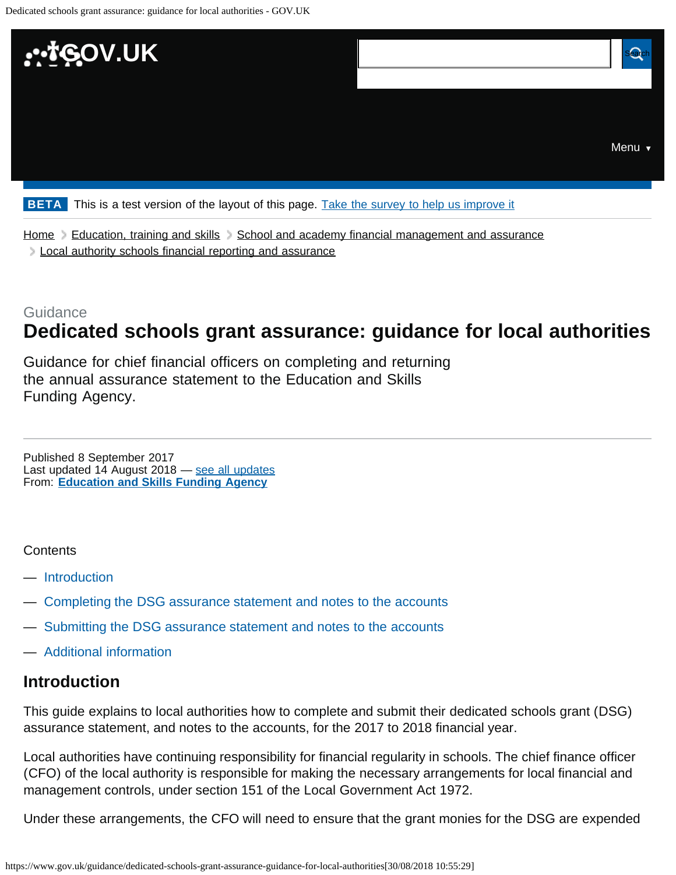<span id="page-0-0"></span>

[Home](https://www.gov.uk/) [Education, training and skills](https://www.gov.uk/education) [School and academy financial management and assurance](https://www.gov.uk/education/school-and-academy-financial-management-and-assurance) **[Local authority schools financial reporting and assurance](https://www.gov.uk/education/local-authority-schools-financial-reporting-and-assurance)** 

# Guidance **Dedicated schools grant assurance: guidance for local authorities**

Guidance for chief financial officers on completing and returning the annual assurance statement to the Education and Skills Funding Agency.

From: **[Education and Skills Funding Agency](https://www.gov.uk/government/organisations/education-and-skills-funding-agency)** Published 8 September 2017 Last updated 14 August 2018 — [see all updates](#page-2-0)

#### **Contents**

- [Introduction](#page-0-1)
- [Completing the DSG assurance statement and notes to the accounts](#page-1-0)
- [Submitting the DSG assurance statement and notes to the accounts](#page-2-1)
- [Additional information](#page-2-2)

### <span id="page-0-1"></span>**Introduction**

This guide explains to local authorities how to complete and submit their dedicated schools grant (DSG) assurance statement, and notes to the accounts, for the 2017 to 2018 financial year.

Local authorities have continuing responsibility for financial regularity in schools. The chief finance officer (CFO) of the local authority is responsible for making the necessary arrangements for local financial and management controls, under section 151 of the Local Government Act 1972.

Under these arrangements, the CFO will need to ensure that the grant monies for the DSG are expended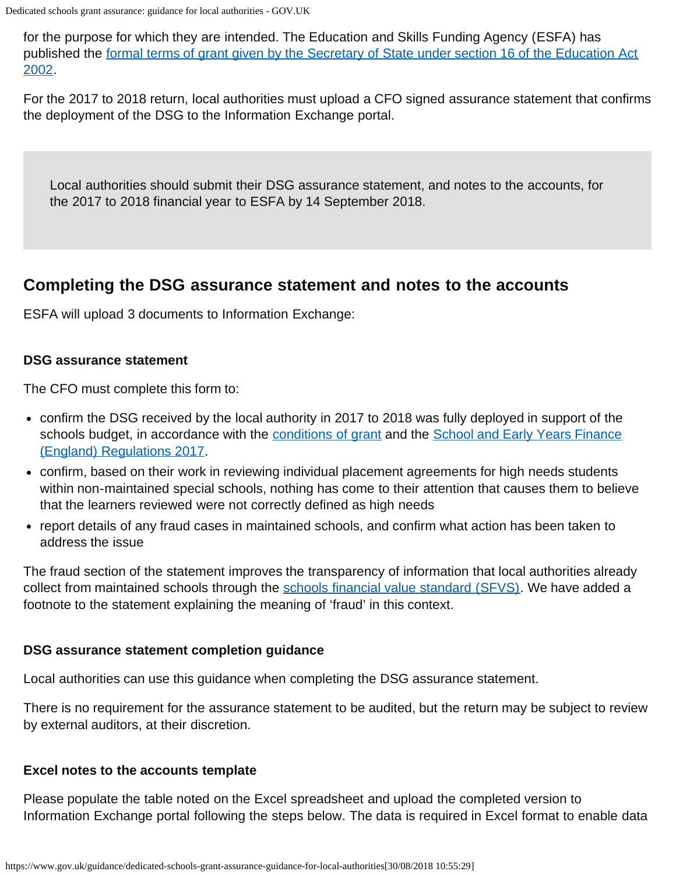Dedicated schools grant assurance: guidance for local authorities - GOV.UK

for the purpose for which they are intended. The Education and Skills Funding Agency (ESFA) has published the [formal terms of grant given by the Secretary of State under section 16 of the Education Act](https://www.gov.uk/government/publications/dedicated-schools-grant-dsg-2017-to-2018) [2002](https://www.gov.uk/government/publications/dedicated-schools-grant-dsg-2017-to-2018).

For the 2017 to 2018 return, local authorities must upload a CFO signed assurance statement that confirms the deployment of the DSG to the Information Exchange portal.

Local authorities should submit their DSG assurance statement, and notes to the accounts, for the 2017 to 2018 financial year to ESFA by 14 September 2018.

# <span id="page-1-0"></span>**Completing the DSG assurance statement and notes to the accounts**

ESFA will upload 3 documents to Information Exchange:

#### **DSG assurance statement**

The CFO must complete this form to:

- confirm the DSG received by the local authority in 2017 to 2018 was fully deployed in support of the schools budget, in accordance with the [conditions of grant](https://www.gov.uk/government/publications/dedicated-schools-grant-dsg-2017-to-2018) and the [School and Early Years Finance](http://www.legislation.gov.uk/uksi/2017/44/contents/made) [\(England\) Regulations 2017](http://www.legislation.gov.uk/uksi/2017/44/contents/made).
- confirm, based on their work in reviewing individual placement agreements for high needs students within non-maintained special schools, nothing has come to their attention that causes them to believe that the learners reviewed were not correctly defined as high needs
- report details of any fraud cases in maintained schools, and confirm what action has been taken to address the issue

The fraud section of the statement improves the transparency of information that local authorities already collect from maintained schools through the [schools financial value standard \(SFVS\).](https://www.gov.uk/guidance/schools-financial-value-standard-and-assurance-sfvs) We have added a footnote to the statement explaining the meaning of 'fraud' in this context.

### **DSG assurance statement completion guidance**

Local authorities can use this guidance when completing the DSG assurance statement.

There is no requirement for the assurance statement to be audited, but the return may be subject to review by external auditors, at their discretion.

### **Excel notes to the accounts template**

Please populate the table noted on the Excel spreadsheet and upload the completed version to Information Exchange portal following the steps below. The data is required in Excel format to enable data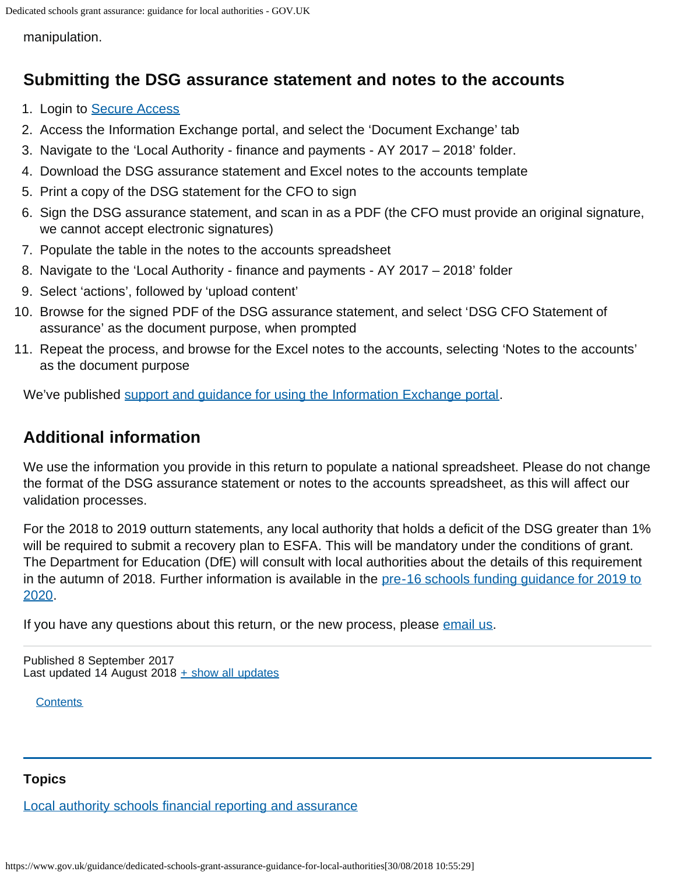<span id="page-2-3"></span>manipulation.

# <span id="page-2-1"></span>**Submitting the DSG assurance statement and notes to the accounts**

- 1. Login to [Secure Access](https://sa.education.gov.uk/idp/Authn/UserPassword)
- 2. Access the Information Exchange portal, and select the 'Document Exchange' tab
- 3. Navigate to the 'Local Authority finance and payments AY 2017 2018' folder.
- 4. Download the DSG assurance statement and Excel notes to the accounts template
- 5. Print a copy of the DSG statement for the CFO to sign
- 6. Sign the DSG assurance statement, and scan in as a PDF (the CFO must provide an original signature, we cannot accept electronic signatures)
- 7. Populate the table in the notes to the accounts spreadsheet
- 8. Navigate to the 'Local Authority finance and payments AY 2017 2018' folder
- 9. Select 'actions', followed by 'upload content'
- 10. Browse for the signed PDF of the DSG assurance statement, and select 'DSG CFO Statement of assurance' as the document purpose, when prompted
- 11. Repeat the process, and browse for the Excel notes to the accounts, selecting 'Notes to the accounts' as the document purpose

We've published [support and guidance for using the Information Exchange portal.](https://www.gov.uk/government/publications/efa-information-exchange)

# <span id="page-2-2"></span>**Additional information**

We use the information you provide in this return to populate a national spreadsheet. Please do not change the format of the DSG assurance statement or notes to the accounts spreadsheet, as this will affect our validation processes.

For the 2018 to 2019 outturn statements, any local authority that holds a deficit of the DSG greater than 1% will be required to submit a recovery plan to ESFA. This will be mandatory under the conditions of grant. The Department for Education (DfE) will consult with local authorities about the details of this requirement in the autumn of 2018. Further information is available in the [pre-16 schools funding guidance for 2019 to](https://www.gov.uk/government/publications/pre-16-schools-funding-guidance-for-2019-to-2020) [2020](https://www.gov.uk/government/publications/pre-16-schools-funding-guidance-for-2019-to-2020).

If you have any questions about this return, or the new process, please [email us.](mailto:financial.management@education.gov.uk)

<span id="page-2-0"></span>Published 8 September 2017 Last updated 14 August 2018  $\pm$  [show all updates](#page-0-0)

**[Contents](#page-2-3)** 

#### **Topics**

[Local authority schools financial reporting and assurance](https://www.gov.uk/education/local-authority-schools-financial-reporting-and-assurance)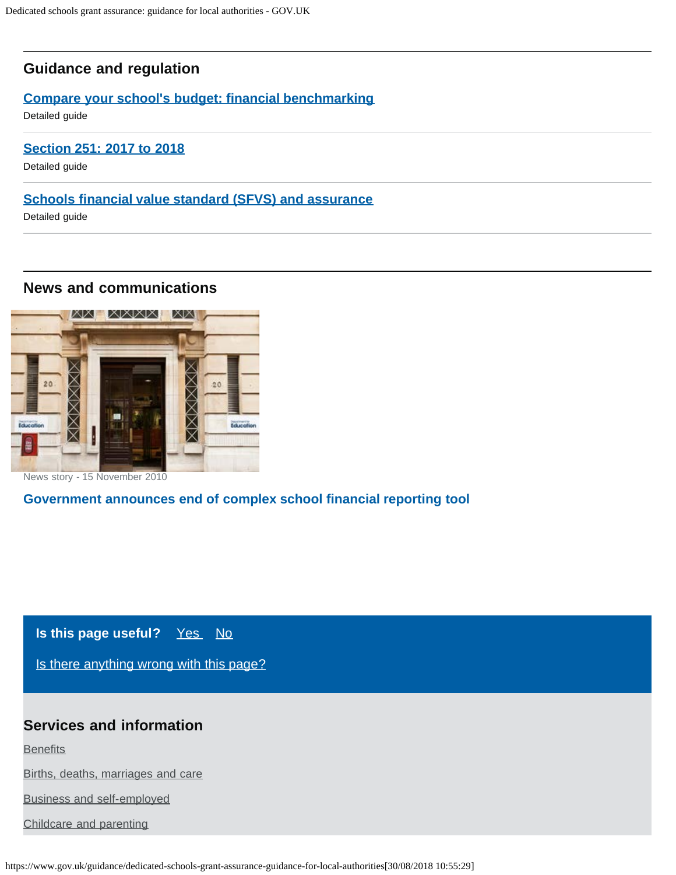### **Guidance and regulation**

#### **[Compare your school's budget: financial benchmarking](https://www.gov.uk/guidance/schools-financial-efficiency-financial-benchmarking)**

Detailed guide

#### **[Section 251: 2017 to 2018](https://www.gov.uk/guidance/section-251-2017-to-2018)**

Detailed guide

#### **[Schools financial value standard \(SFVS\) and assurance](https://www.gov.uk/guidance/schools-financial-value-standard-and-assurance-sfvs)**

Detailed guide

### **News and communications**



News story - 15 November 2010

### **[Government announces end of complex school financial reporting tool](https://www.gov.uk/government/news/government-announces-end-of-complex-school-financial-reporting-tool)**

# **Is this page useful?** [Yes No](https://www.gov.uk/contact/govuk)

[Is there anything wrong with this page?](https://www.gov.uk/contact/govuk)

# **Services and information**

**[Benefits](https://www.gov.uk/browse/benefits)** 

[Births, deaths, marriages and care](https://www.gov.uk/browse/births-deaths-marriages)

[Business and self-employed](https://www.gov.uk/browse/business)

[Childcare and parenting](https://www.gov.uk/browse/childcare-parenting)